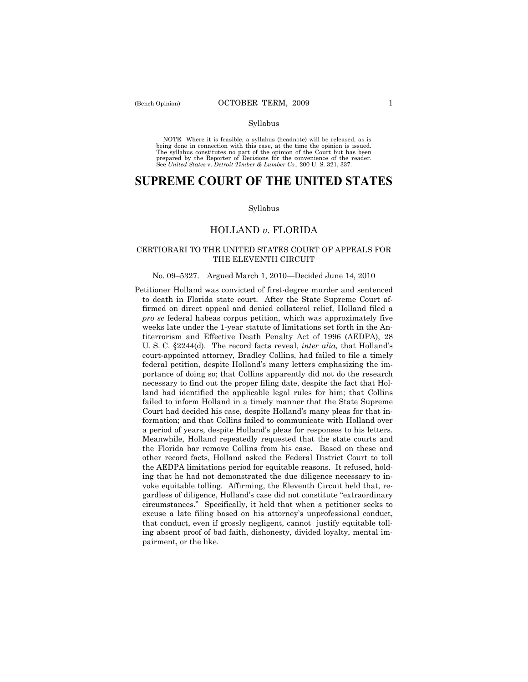#### Syllabus

NOTE: Where it is feasible, a syllabus (headnote) will be released, as is being done in connection with this case, at the time the opinion is issued. The syllabus constitutes no part of the opinion of the Court but has been<br>prepared by the Reporter of Decisions for the convenience of the reader.<br>See United States v. Detroit Timber & Lumber Co., 200 U. S. 321, 337.

# **SUPREME COURT OF THE UNITED STATES**

#### Syllabus

# HOLLAND *v*. FLORIDA

# CERTIORARI TO THE UNITED STATES COURT OF APPEALS FOR THE ELEVENTH CIRCUIT

## No. 09–5327. Argued March 1, 2010—Decided June 14, 2010

Petitioner Holland was convicted of first-degree murder and sentenced to death in Florida state court. After the State Supreme Court affirmed on direct appeal and denied collateral relief, Holland filed a *pro se* federal habeas corpus petition, which was approximately five weeks late under the 1-year statute of limitations set forth in the Antiterrorism and Effective Death Penalty Act of 1996 (AEDPA), 28 U. S. C. §2244(d). The record facts reveal, *inter alia,* that Holland's court-appointed attorney, Bradley Collins, had failed to file a timely federal petition, despite Holland's many letters emphasizing the importance of doing so; that Collins apparently did not do the research necessary to find out the proper filing date, despite the fact that Holland had identified the applicable legal rules for him; that Collins failed to inform Holland in a timely manner that the State Supreme Court had decided his case, despite Holland's many pleas for that information; and that Collins failed to communicate with Holland over a period of years, despite Holland's pleas for responses to his letters. Meanwhile, Holland repeatedly requested that the state courts and the Florida bar remove Collins from his case. Based on these and other record facts, Holland asked the Federal District Court to toll the AEDPA limitations period for equitable reasons. It refused, holding that he had not demonstrated the due diligence necessary to invoke equitable tolling. Affirming, the Eleventh Circuit held that, regardless of diligence, Holland's case did not constitute "extraordinary circumstances." Specifically, it held that when a petitioner seeks to excuse a late filing based on his attorney's unprofessional conduct, that conduct, even if grossly negligent, cannot justify equitable tolling absent proof of bad faith, dishonesty, divided loyalty, mental impairment, or the like.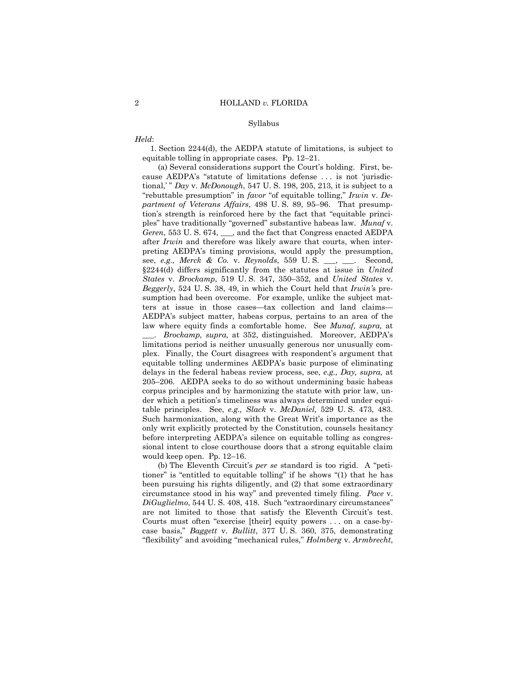### Syllabus

# *Held*:

 1. Section 2244(d), the AEDPA statute of limitations, is subject to equitable tolling in appropriate cases. Pp. 12–21.

 (a) Several considerations support the Court's holding. First, because AEDPA's "statute of limitations defense . . . is not 'jurisdictional,' " *Day* v. *McDonough*, 547 U. S. 198, 205, 213, it is subject to a "rebuttable presumption" in *favor* "of equitable tolling," *Irwin* v. *Department of Veterans Affairs*, 498 U. S. 89, 95–96. That presumption's strength is reinforced here by the fact that "equitable principles" have traditionally "governed" substantive habeas law. *Munaf* v. *Geren*, 553 U. S. 674, \_\_\_, and the fact that Congress enacted AEDPA after *Irwin* and therefore was likely aware that courts, when interpreting AEDPA's timing provisions, would apply the presumption, see, *e.g., Merck & Co.* v. *Reynolds*, 559 U. S. \_\_\_, \_\_\_. Second, §2244(d) differs significantly from the statutes at issue in *United States* v. *Brockamp*, 519 U. S. 347, 350–352, and *United States* v. *Beggerly*, 524 U. S. 38, 49, in which the Court held that *Irwin'*s presumption had been overcome. For example, unlike the subject matters at issue in those cases*—*tax collection and land claims— AEDPA's subject matter, habeas corpus, pertains to an area of the law where equity finds a comfortable home. See *Munaf, supra,* at \_\_\_. *Brockamp, supra,* at 352, distinguished. Moreover, AEDPA's limitations period is neither unusually generous nor unusually complex. Finally, the Court disagrees with respondent's argument that equitable tolling undermines AEDPA's basic purpose of eliminating delays in the federal habeas review process, see, *e.g., Day, supra,* at 205–206. AEDPA seeks to do so without undermining basic habeas corpus principles and by harmonizing the statute with prior law, under which a petition's timeliness was always determined under equitable principles. See, *e.g., Slack* v. *McDaniel,* 529 U. S. 473, 483. Such harmonization, along with the Great Writ's importance as the only writ explicitly protected by the Constitution, counsels hesitancy before interpreting AEDPA's silence on equitable tolling as congressional intent to close courthouse doors that a strong equitable claim would keep open. Pp. 12–16.

 (b) The Eleventh Circuit's *per se* standard is too rigid. A "petitioner" is "entitled to equitable tolling" if he shows "(1) that he has been pursuing his rights diligently, and (2) that some extraordinary circumstance stood in his way" and prevented timely filing. *Pace* v. *DiGuglielmo*, 544 U. S. 408, 418. Such "extraordinary circumstances" are not limited to those that satisfy the Eleventh Circuit's test. Courts must often "exercise [their] equity powers . . . on a case-bycase basis," *Baggett* v. *Bullitt*, 377 U. S. 360, 375, demonstrating "flexibility" and avoiding "mechanical rules," *Holmberg* v. *Armbrecht*,